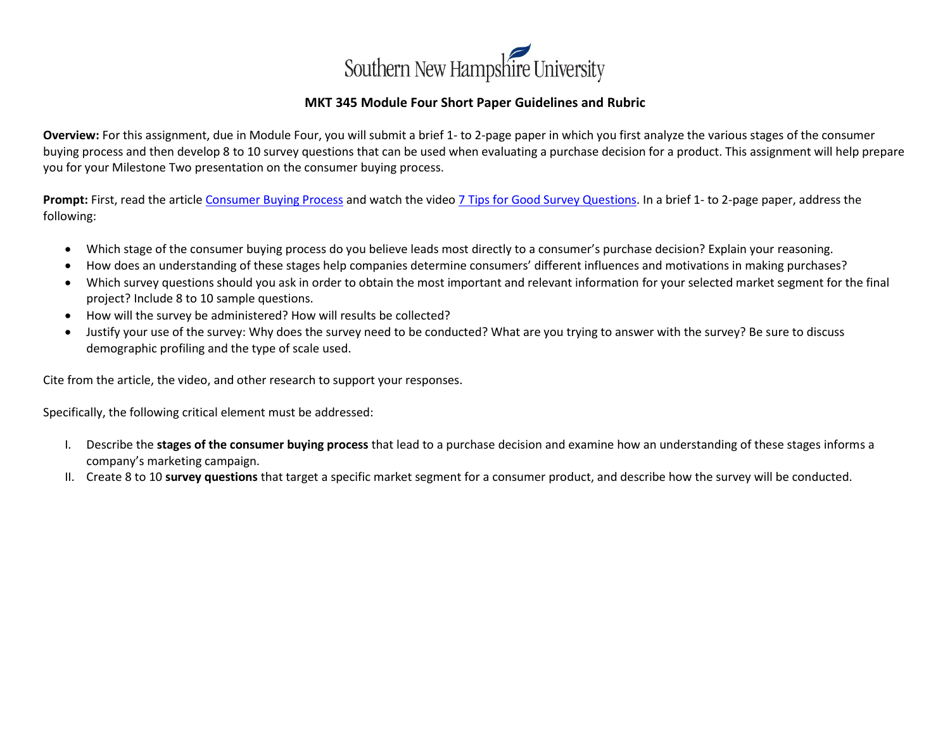

## **MKT 345 Module Four Short Paper Guidelines and Rubric**

**Overview:** For this assignment, due in Module Four, you will submit a brief 1- to 2-page paper in which you first analyze the various stages of the consumer buying process and then develop 8 to 10 survey questions that can be used when evaluating a purchase decision for a product. This assignment will help prepare you for your Milestone Two presentation on the consumer buying process.

**Prompt:** First, read the article [Consumer Buying Process](https://toughnickel.com/starting-business/Stages-of-the-Consumer-Buying-Process) and watch the video [7 Tips for Good Survey Questions.](https://www.youtube.com/watch?v=Iq_fhTuY1hw) In a brief 1- to 2-page paper, address the following:

- Which stage of the consumer buying process do you believe leads most directly to a consumer's purchase decision? Explain your reasoning.
- How does an understanding of these stages help companies determine consumers' different influences and motivations in making purchases?
- Which survey questions should you ask in order to obtain the most important and relevant information for your selected market segment for the final project? Include 8 to 10 sample questions.
- How will the survey be administered? How will results be collected?
- Justify your use of the survey: Why does the survey need to be conducted? What are you trying to answer with the survey? Be sure to discuss demographic profiling and the type of scale used.

Cite from the article, the video, and other research to support your responses.

Specifically, the following critical element must be addressed:

- I. Describe the **stages of the consumer buying process** that lead to a purchase decision and examine how an understanding of these stages informs a company's marketing campaign.
- II. Create 8 to 10 **survey questions** that target a specific market segment for a consumer product, and describe how the survey will be conducted.